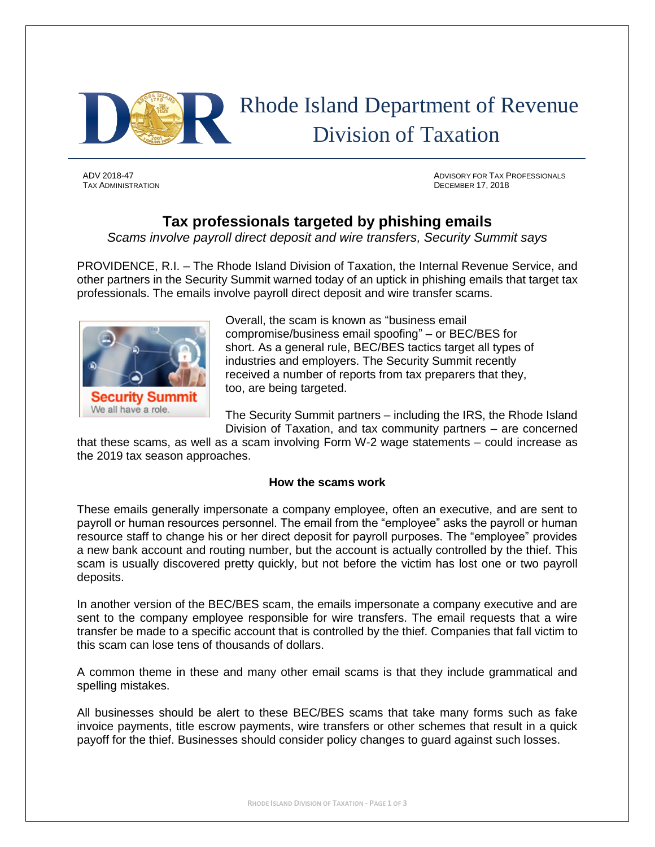

TAX ADMINISTRATION DECEMBER 17, 2018

ADV 2018-47 ADVISORY FOR TAX PROFESSIONALS

# **Tax professionals targeted by phishing emails**

*Scams involve payroll direct deposit and wire transfers, Security Summit says*

PROVIDENCE, R.I. – The Rhode Island Division of Taxation, the Internal Revenue Service, and other partners in the Security Summit warned today of an uptick in phishing emails that target tax professionals. The emails involve payroll direct deposit and wire transfer scams.



Overall, the scam is known as "business email compromise/business email spoofing" – or BEC/BES for short. As a general rule, BEC/BES tactics target all types of industries and employers. The Security Summit recently received a number of reports from tax preparers that they, too, are being targeted.

The Security Summit partners – including the IRS, the Rhode Island Division of Taxation, and tax community partners – are concerned

that these scams, as well as a scam involving Form W-2 wage statements – could increase as the 2019 tax season approaches.

## **How the scams work**

These emails generally impersonate a company employee, often an executive, and are sent to payroll or human resources personnel. The email from the "employee" asks the payroll or human resource staff to change his or her direct deposit for payroll purposes. The "employee" provides a new bank account and routing number, but the account is actually controlled by the thief. This scam is usually discovered pretty quickly, but not before the victim has lost one or two payroll deposits.

In another version of the BEC/BES scam, the emails impersonate a company executive and are sent to the company employee responsible for wire transfers. The email requests that a wire transfer be made to a specific account that is controlled by the thief. Companies that fall victim to this scam can lose tens of thousands of dollars.

A common theme in these and many other email scams is that they include grammatical and spelling mistakes.

All businesses should be alert to these BEC/BES scams that take many forms such as fake invoice payments, title escrow payments, wire transfers or other schemes that result in a quick payoff for the thief. Businesses should consider policy changes to guard against such losses.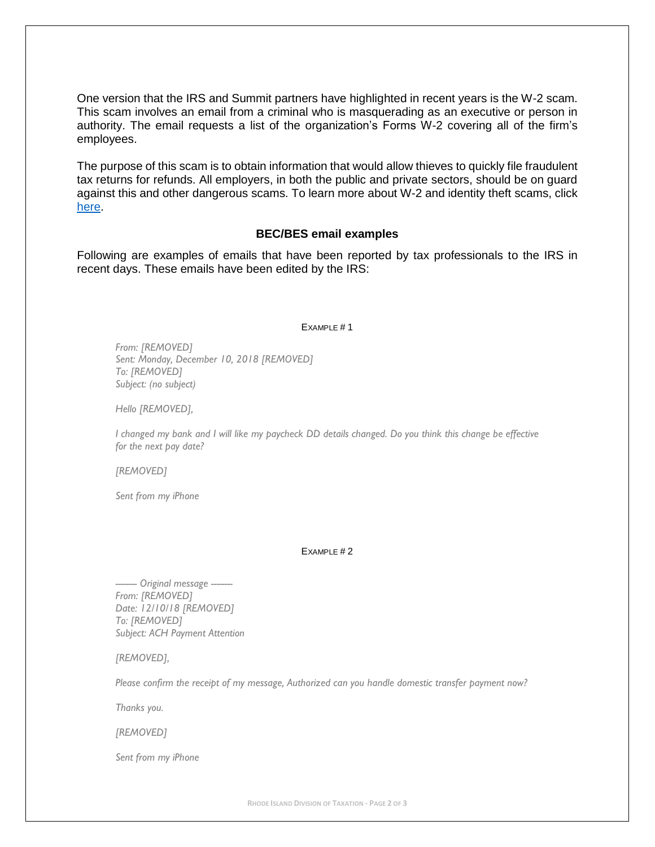One version that the IRS and Summit partners have highlighted in recent years is the W-2 scam. This scam involves an email from a criminal who is masquerading as an executive or person in authority. The email requests a list of the organization's Forms W-2 covering all of the firm's employees.

The purpose of this scam is to obtain information that would allow thieves to quickly file fraudulent tax returns for refunds. All employers, in both the public and private sectors, should be on guard against this and other dangerous scams. To learn more about W-2 and identity theft scams, click [here.](https://www.irs.gov/newsroom/security-summit-warns-employers-be-alert-to-identity-theft-and-w-2-scams)

## **BEC/BES email examples**

Following are examples of emails that have been reported by tax professionals to the IRS in recent days. These emails have been edited by the IRS:

#### EXAMPLE #1

*From: [REMOVED] Sent: Monday, December 10, 2018 [REMOVED] To: [REMOVED] Subject: (no subject)*

*Hello [REMOVED],*

*I changed my bank and I will like my paycheck DD details changed. Do you think this change be effective for the next pay date?*

*[REMOVED]*

*Sent from my iPhone*

#### EXAMPLE #2

*-------- Original message -------- From: [REMOVED] Date: 12/10/18 [REMOVED] To: [REMOVED] Subject: ACH Payment Attention*

*[REMOVED],*

*Please confirm the receipt of my message, Authorized can you handle domestic transfer payment now?*

*Thanks you.*

*[REMOVED]*

*Sent from my iPhone*